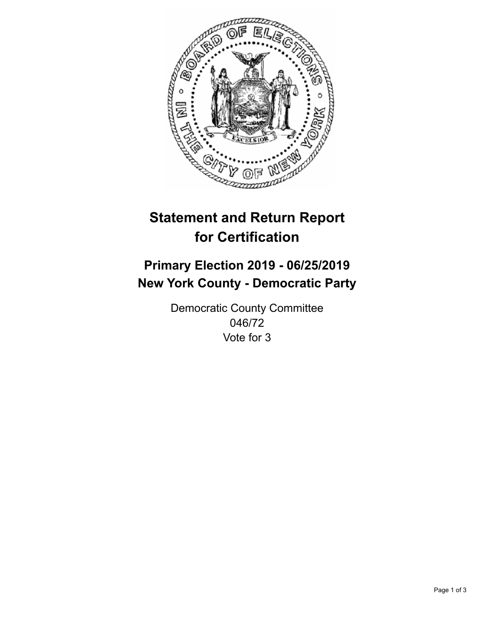

## **Statement and Return Report for Certification**

## **Primary Election 2019 - 06/25/2019 New York County - Democratic Party**

Democratic County Committee 046/72 Vote for 3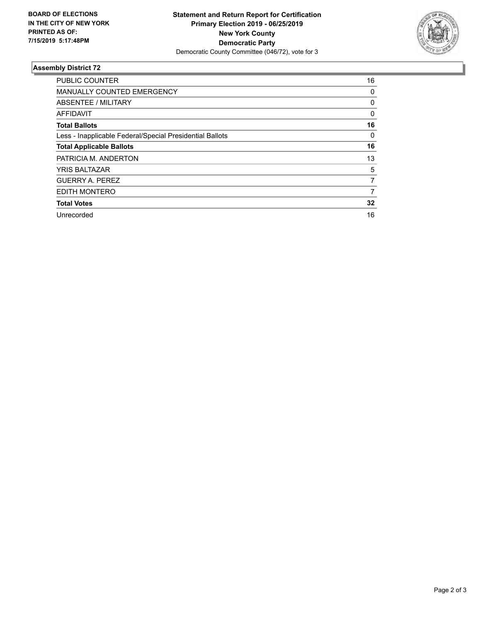

## **Assembly District 72**

| <b>PUBLIC COUNTER</b>                                    | 16       |
|----------------------------------------------------------|----------|
| <b>MANUALLY COUNTED EMERGENCY</b>                        | 0        |
| ABSENTEE / MILITARY                                      | 0        |
| <b>AFFIDAVIT</b>                                         | $\Omega$ |
| <b>Total Ballots</b>                                     | 16       |
| Less - Inapplicable Federal/Special Presidential Ballots | $\Omega$ |
| <b>Total Applicable Ballots</b>                          | 16       |
| PATRICIA M. ANDERTON                                     | 13       |
| <b>YRIS BALTAZAR</b>                                     | 5        |
| <b>GUERRY A. PEREZ</b>                                   | 7        |
| EDITH MONTERO                                            | 7        |
| <b>Total Votes</b>                                       | 32       |
| Unrecorded                                               | 16       |